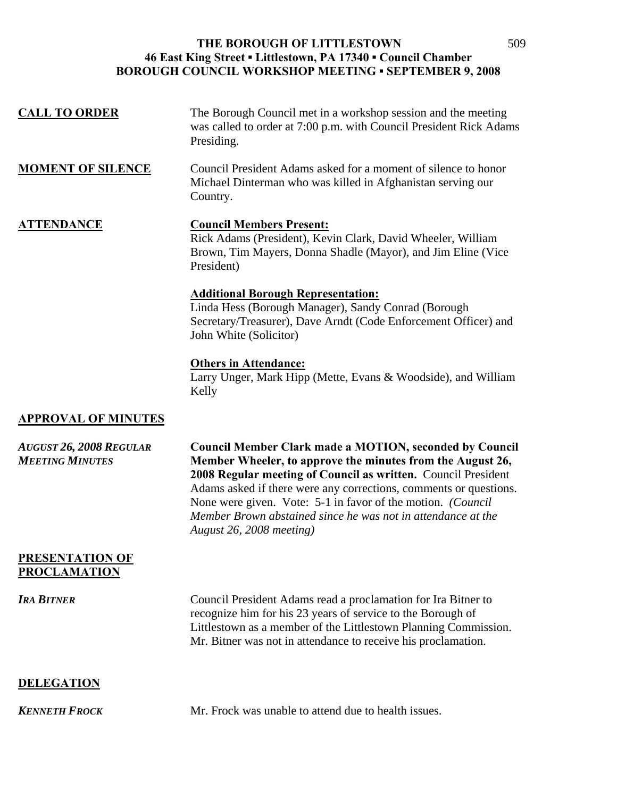| <b>CALL TO ORDER</b>                                     | The Borough Council met in a workshop session and the meeting<br>was called to order at 7:00 p.m. with Council President Rick Adams<br>Presiding.                                                                                                                                                                                                                                                                             |
|----------------------------------------------------------|-------------------------------------------------------------------------------------------------------------------------------------------------------------------------------------------------------------------------------------------------------------------------------------------------------------------------------------------------------------------------------------------------------------------------------|
| <b>MOMENT OF SILENCE</b>                                 | Council President Adams asked for a moment of silence to honor<br>Michael Dinterman who was killed in Afghanistan serving our<br>Country.                                                                                                                                                                                                                                                                                     |
| <b>ATTENDANCE</b>                                        | <b>Council Members Present:</b><br>Rick Adams (President), Kevin Clark, David Wheeler, William<br>Brown, Tim Mayers, Donna Shadle (Mayor), and Jim Eline (Vice<br>President)                                                                                                                                                                                                                                                  |
|                                                          | <b>Additional Borough Representation:</b><br>Linda Hess (Borough Manager), Sandy Conrad (Borough<br>Secretary/Treasurer), Dave Arndt (Code Enforcement Officer) and<br>John White (Solicitor)                                                                                                                                                                                                                                 |
|                                                          | <b>Others in Attendance:</b><br>Larry Unger, Mark Hipp (Mette, Evans & Woodside), and William<br>Kelly                                                                                                                                                                                                                                                                                                                        |
| <b>APPROVAL OF MINUTES</b>                               |                                                                                                                                                                                                                                                                                                                                                                                                                               |
| <b>AUGUST 26, 2008 REGULAR</b><br><b>MEETING MINUTES</b> | <b>Council Member Clark made a MOTION, seconded by Council</b><br>Member Wheeler, to approve the minutes from the August 26,<br>2008 Regular meeting of Council as written. Council President<br>Adams asked if there were any corrections, comments or questions.<br>None were given. Vote: 5-1 in favor of the motion. (Council<br>Member Brown abstained since he was not in attendance at the<br>August 26, 2008 meeting) |
| <b>PRESENTATION OF</b><br><b>PROCLAMATION</b>            |                                                                                                                                                                                                                                                                                                                                                                                                                               |
| <b>IRA BITNER</b>                                        | Council President Adams read a proclamation for Ira Bitner to<br>recognize him for his 23 years of service to the Borough of<br>Littlestown as a member of the Littlestown Planning Commission.<br>Mr. Bitner was not in attendance to receive his proclamation.                                                                                                                                                              |
| <b>DELEGATION</b>                                        |                                                                                                                                                                                                                                                                                                                                                                                                                               |
| <b>KENNETH FROCK</b>                                     | Mr. Frock was unable to attend due to health issues.                                                                                                                                                                                                                                                                                                                                                                          |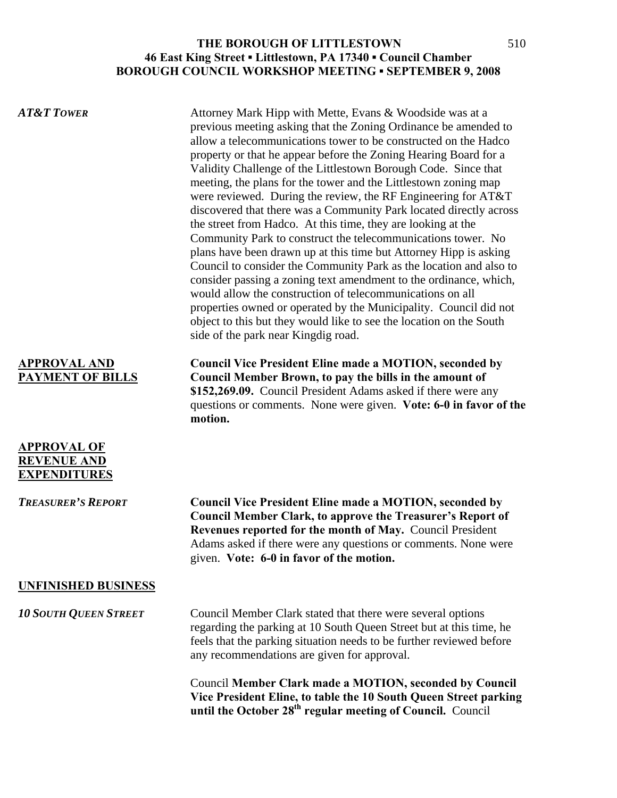| <b>AT&amp;T TOWER</b>                                           | Attorney Mark Hipp with Mette, Evans & Woodside was at a<br>previous meeting asking that the Zoning Ordinance be amended to<br>allow a telecommunications tower to be constructed on the Hadco<br>property or that he appear before the Zoning Hearing Board for a<br>Validity Challenge of the Littlestown Borough Code. Since that<br>meeting, the plans for the tower and the Littlestown zoning map<br>were reviewed. During the review, the RF Engineering for AT&T<br>discovered that there was a Community Park located directly across<br>the street from Hadco. At this time, they are looking at the<br>Community Park to construct the telecommunications tower. No<br>plans have been drawn up at this time but Attorney Hipp is asking<br>Council to consider the Community Park as the location and also to<br>consider passing a zoning text amendment to the ordinance, which,<br>would allow the construction of telecommunications on all<br>properties owned or operated by the Municipality. Council did not<br>object to this but they would like to see the location on the South<br>side of the park near Kingdig road. |
|-----------------------------------------------------------------|------------------------------------------------------------------------------------------------------------------------------------------------------------------------------------------------------------------------------------------------------------------------------------------------------------------------------------------------------------------------------------------------------------------------------------------------------------------------------------------------------------------------------------------------------------------------------------------------------------------------------------------------------------------------------------------------------------------------------------------------------------------------------------------------------------------------------------------------------------------------------------------------------------------------------------------------------------------------------------------------------------------------------------------------------------------------------------------------------------------------------------------------|
| <b>APPROVAL AND</b><br><b>PAYMENT OF BILLS</b>                  | <b>Council Vice President Eline made a MOTION, seconded by</b><br>Council Member Brown, to pay the bills in the amount of<br>\$152,269.09. Council President Adams asked if there were any<br>questions or comments. None were given. Vote: 6-0 in favor of the<br>motion.                                                                                                                                                                                                                                                                                                                                                                                                                                                                                                                                                                                                                                                                                                                                                                                                                                                                     |
| <b>APPROVAL OF</b><br><b>REVENUE AND</b><br><b>EXPENDITURES</b> |                                                                                                                                                                                                                                                                                                                                                                                                                                                                                                                                                                                                                                                                                                                                                                                                                                                                                                                                                                                                                                                                                                                                                |
| <b>TREASURER'S REPORT</b>                                       | <b>Council Vice President Eline made a MOTION, seconded by</b><br><b>Council Member Clark, to approve the Treasurer's Report of</b><br>Revenues reported for the month of May. Council President<br>Adams asked if there were any questions or comments. None were<br>given. Vote: 6-0 in favor of the motion.                                                                                                                                                                                                                                                                                                                                                                                                                                                                                                                                                                                                                                                                                                                                                                                                                                 |
| <b>UNFINISHED BUSINESS</b>                                      |                                                                                                                                                                                                                                                                                                                                                                                                                                                                                                                                                                                                                                                                                                                                                                                                                                                                                                                                                                                                                                                                                                                                                |
| <b>10 SOUTH QUEEN STREET</b>                                    | Council Member Clark stated that there were several options<br>regarding the parking at 10 South Queen Street but at this time, he<br>feels that the parking situation needs to be further reviewed before<br>any recommendations are given for approval.                                                                                                                                                                                                                                                                                                                                                                                                                                                                                                                                                                                                                                                                                                                                                                                                                                                                                      |
|                                                                 | Council Member Clark made a MOTION, seconded by Council<br>Vice President Eline, to table the 10 South Queen Street parking<br>until the October 28 <sup>th</sup> regular meeting of Council. Council                                                                                                                                                                                                                                                                                                                                                                                                                                                                                                                                                                                                                                                                                                                                                                                                                                                                                                                                          |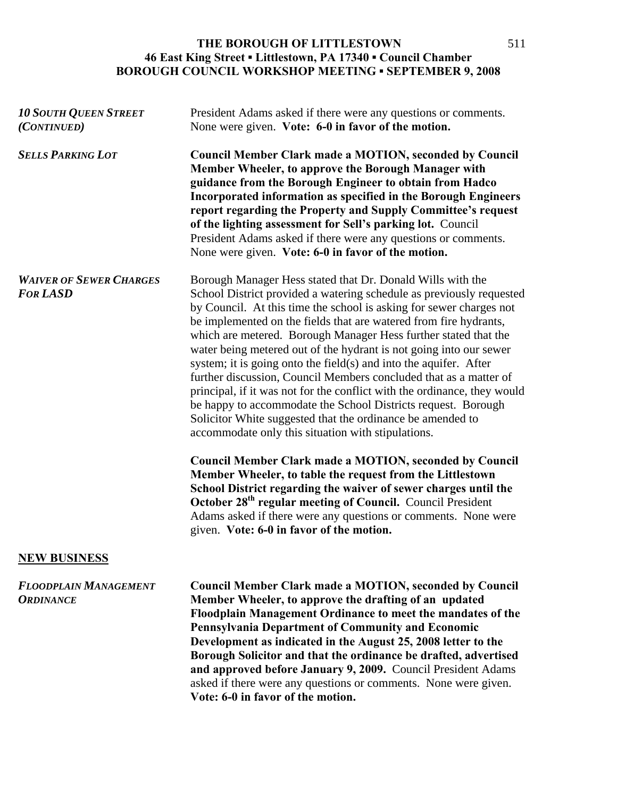| <b>10 SOUTH QUEEN STREET</b><br>(CONTINUED)       | President Adams asked if there were any questions or comments.<br>None were given. Vote: 6-0 in favor of the motion.                                                                                                                                                                                                                                                                                                                                                                                                                                                                                                                                                                                                                                                                                                               |
|---------------------------------------------------|------------------------------------------------------------------------------------------------------------------------------------------------------------------------------------------------------------------------------------------------------------------------------------------------------------------------------------------------------------------------------------------------------------------------------------------------------------------------------------------------------------------------------------------------------------------------------------------------------------------------------------------------------------------------------------------------------------------------------------------------------------------------------------------------------------------------------------|
| <b>SELLS PARKING LOT</b>                          | <b>Council Member Clark made a MOTION, seconded by Council</b><br>Member Wheeler, to approve the Borough Manager with<br>guidance from the Borough Engineer to obtain from Hadco<br>Incorporated information as specified in the Borough Engineers<br>report regarding the Property and Supply Committee's request<br>of the lighting assessment for Sell's parking lot. Council<br>President Adams asked if there were any questions or comments.<br>None were given. Vote: 6-0 in favor of the motion.                                                                                                                                                                                                                                                                                                                           |
| <b>WAIVER OF SEWER CHARGES</b><br><b>FOR LASD</b> | Borough Manager Hess stated that Dr. Donald Wills with the<br>School District provided a watering schedule as previously requested<br>by Council. At this time the school is asking for sewer charges not<br>be implemented on the fields that are watered from fire hydrants,<br>which are metered. Borough Manager Hess further stated that the<br>water being metered out of the hydrant is not going into our sewer<br>system; it is going onto the field(s) and into the aquifer. After<br>further discussion, Council Members concluded that as a matter of<br>principal, if it was not for the conflict with the ordinance, they would<br>be happy to accommodate the School Districts request. Borough<br>Solicitor White suggested that the ordinance be amended to<br>accommodate only this situation with stipulations. |
|                                                   | <b>Council Member Clark made a MOTION, seconded by Council</b><br>Member Wheeler, to table the request from the Littlestown<br>School District regarding the waiver of sewer charges until the<br>October 28 <sup>th</sup> regular meeting of Council. Council President<br>Adams asked if there were any questions or comments. None were<br>given. Vote: 6-0 in favor of the motion.                                                                                                                                                                                                                                                                                                                                                                                                                                             |
| <b>NEW BUSINESS</b>                               |                                                                                                                                                                                                                                                                                                                                                                                                                                                                                                                                                                                                                                                                                                                                                                                                                                    |
| <b>FLOODPLAIN MANAGEMENT</b><br><b>ORDINANCE</b>  | <b>Council Member Clark made a MOTION, seconded by Council</b><br>Member Wheeler, to approve the drafting of an updated<br>Floodplain Management Ordinance to meet the mandates of the<br><b>Pennsylvania Department of Community and Economic</b><br>Development as indicated in the August 25, 2008 letter to the<br>Borough Solicitor and that the ordinance be drafted, advertised<br>and approved before January 9, 2009. Council President Adams<br>asked if there were any questions or comments. None were given.<br>Vote: 6-0 in favor of the motion.                                                                                                                                                                                                                                                                     |